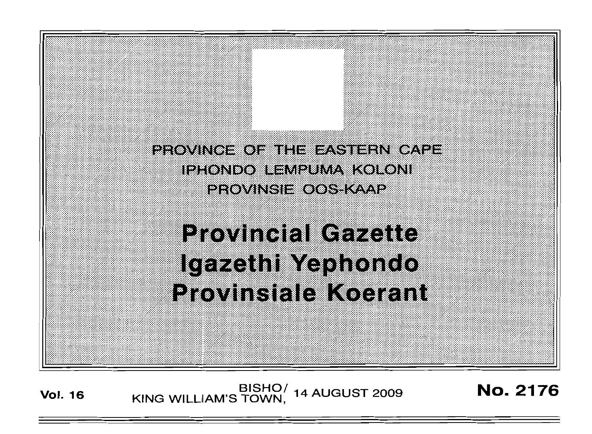

**Vol. 16 BISHO/ 14 AUGUST 2009 No. 2176**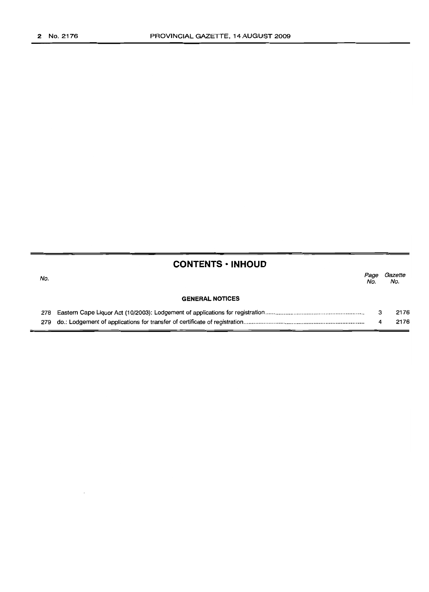# **CONTENTS • INHOUD**

| No. |                        | Page<br>No. | Gazette<br>No. |
|-----|------------------------|-------------|----------------|
|     | <b>GENERAL NOTICES</b> |             |                |
|     |                        |             | 2176           |
|     |                        |             | 2176           |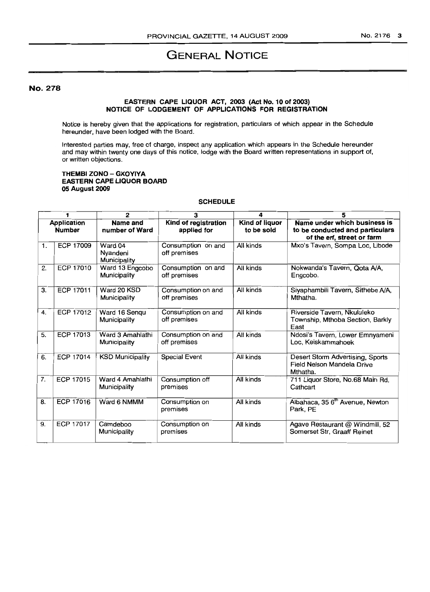# GENERAL NOTICE

# No. 278

### EASTEFIN CAPE LIQUOR ACT, 2003 (Act No. 10 of 2003) NOTICE OF LODGEMENT OF APPLICATIONS FOR REGISTRATION

Notice is hereby given that the applications for registration, particulars of which appear in the Schedule hereunder, have been lodged with the Board.

Interested parties may, free of charge, inspect any application which appears in the Schedule hereunder and may within twenty one days of this notice, lodge with the Board written representations in support of, or written objections.

#### THEMBI ZONO - GXOYIYA EASTERN CAPE LIQUOR BOARD 05 August 2009

# **SCHEDULE**

|                              |                  | 2                                   | 3                                   | 4                            | 5                                                                                             |
|------------------------------|------------------|-------------------------------------|-------------------------------------|------------------------------|-----------------------------------------------------------------------------------------------|
| Application<br><b>Number</b> |                  | Name and<br>number of Ward          | Kind of registration<br>applied for | Kind of liquor<br>to be sold | Name under which business is<br>to be conducted and particulars<br>of the erf, street or farm |
| 1.                           | <b>ECP 17009</b> | Ward 04<br>Nyandeni<br>Municipality | Consumption on and<br>off premises  | All kinds                    | Mxo's Tavern, Sompa Loc, Libode                                                               |
| 2.                           | <b>ECP 17010</b> | Ward 13 Engcobo<br>Municipality     | Consumption on and<br>off premises  | All kinds                    | Nokwanda's Tavern, Qota A/A,<br>Engcobo.                                                      |
| 3.                           | <b>ECP 17011</b> | Ward 20 KSD<br>Municipality         | Consumption on and<br>off premises  | All kinds                    | Siyaphambili Tavern, Sithebe A/A,<br>Mthatha.                                                 |
| 4.                           | <b>ECP 17012</b> | Ward 16 Sengu<br>Municipality       | Consumption on and<br>off premises  | All kinds                    | Riverside Tavern, Nkululeko<br>Township, Mthoba Section, Barkly<br>East                       |
| 5.                           | ECP 17013        | Ward 3 Amahlathi<br>Municipality    | Consumption on and<br>off premises  | All kinds                    | Ndosi's Tavern, Lower Emnyameni<br>Loc, Keiskammahoek                                         |
| 6.                           | ECP 17014        | <b>KSD Municipality</b>             | <b>Special Event</b>                | All kinds                    | Desert Storm Advertising, Sports<br>Field Nelson Mandela Drive<br>Mthatha.                    |
| 7.                           | ECP 17015        | Ward 4 Amahlathi<br>Municipality    | Consumption off<br>premises         | All kinds                    | 711 Liquor Store, No.68 Main Rd,<br>Cathcart                                                  |
| 8.                           | <b>ECP 17016</b> | Ward 6 NMMM                         | Consumption on<br>premises          | All kinds                    | Albahaca, 35 6 <sup>th</sup> Avenue, Newton<br>Park, PE                                       |
| 9.                           | ECP 17017        | Camdeboo<br>Municipality            | Consumption on<br>premises          | All kinds                    | Agave Restaurant @ Windmill, 52<br>Somerset Str, Graaff Reinet                                |